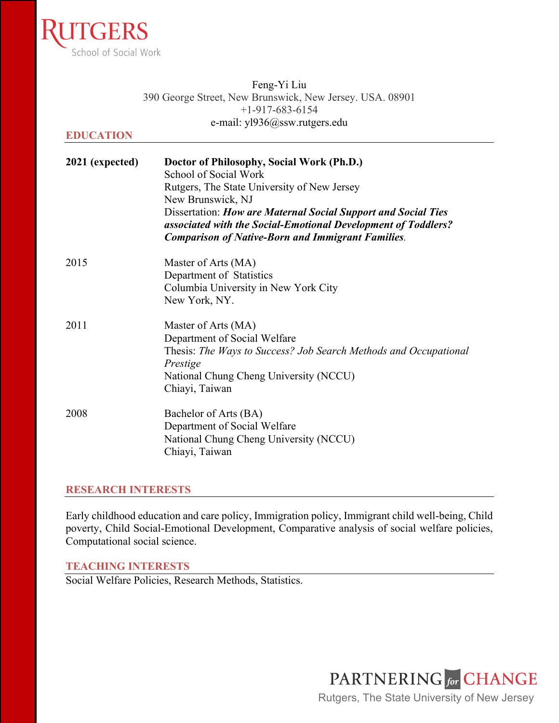

|                  | Feng-Y <sub>1</sub> L <sub>1</sub> u                                                                                                                                                            |
|------------------|-------------------------------------------------------------------------------------------------------------------------------------------------------------------------------------------------|
|                  | 390 George Street, New Brunswick, New Jersey. USA. 08901                                                                                                                                        |
|                  | $+1-917-683-6154$                                                                                                                                                                               |
|                  | e-mail: yl936@ssw.rutgers.edu                                                                                                                                                                   |
| <b>EDUCATION</b> |                                                                                                                                                                                                 |
| 2021 (expected)  | Doctor of Philosophy, Social Work (Ph.D.)<br>School of Social Work                                                                                                                              |
|                  | Rutgers, The State University of New Jersey<br>New Brunswick, NJ                                                                                                                                |
|                  | Dissertation: How are Maternal Social Support and Social Ties<br>associated with the Social-Emotional Development of Toddlers?<br><b>Comparison of Native-Born and Immigrant Families.</b>      |
| 2015             | Master of Arts (MA)<br>Department of Statistics<br>Columbia University in New York City<br>New York, NY.                                                                                        |
| 2011             | Master of Arts (MA)<br>Department of Social Welfare<br>Thesis: The Ways to Success? Job Search Methods and Occupational<br>Prestige<br>National Chung Cheng University (NCCU)<br>Chiayi, Taiwan |
| 2008             | Bachelor of Arts (BA)<br>Department of Social Welfare<br>National Chung Cheng University (NCCU)<br>Chiayi, Taiwan                                                                               |

 $\mathbf{v}$   $\mathbf{v}$   $\mathbf{v}$   $\mathbf{v}$   $\mathbf{v}$ 

## **RESEARCH INTERESTS**

Early childhood education and care policy, Immigration policy, Immigrant child well-being, Child poverty, Child Social-Emotional Development, Comparative analysis of social welfare policies, Computational social science.

## **TEACHING INTERESTS**

Social Welfare Policies, Research Methods, Statistics.

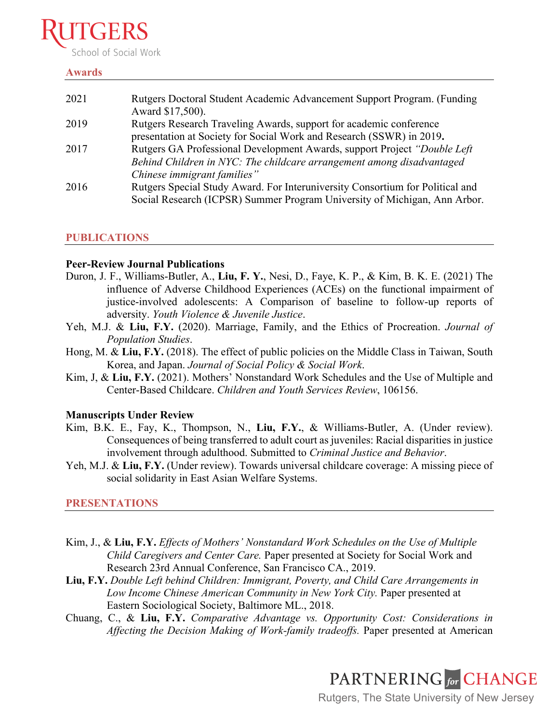# chool of Social Work

## **Awards**

| 2021 | Rutgers Doctoral Student Academic Advancement Support Program. (Funding<br>Award \$17,500). |
|------|---------------------------------------------------------------------------------------------|
| 2019 | Rutgers Research Traveling Awards, support for academic conference                          |
|      | presentation at Society for Social Work and Research (SSWR) in 2019.                        |
| 2017 | Rutgers GA Professional Development Awards, support Project "Double Left"                   |
|      | Behind Children in NYC: The childcare arrangement among disadvantaged                       |
|      | Chinese immigrant families"                                                                 |
| 2016 | Rutgers Special Study Award. For Interuniversity Consortium for Political and               |
|      | Social Research (ICPSR) Summer Program University of Michigan, Ann Arbor.                   |
|      |                                                                                             |

# **PUBLICATIONS**

## **Peer-Review Journal Publications**

- Duron, J. F., Williams-Butler, A., **Liu, F. Y.**, Nesi, D., Faye, K. P., & Kim, B. K. E. (2021) The influence of Adverse Childhood Experiences (ACEs) on the functional impairment of justice-involved adolescents: A Comparison of baseline to follow-up reports of adversity. *Youth Violence & Juvenile Justice*.
- Yeh, M.J. & **Liu, F.Y.** (2020). Marriage, Family, and the Ethics of Procreation. *Journal of Population Studies*.
- Hong, M. & **Liu, F.Y.** (2018). The effect of public policies on the Middle Class in Taiwan, South Korea, and Japan. *Journal of Social Policy & Social Work*.
- Kim, J, & **Liu, F.Y.** (2021). Mothers' Nonstandard Work Schedules and the Use of Multiple and Center-Based Childcare. *Children and Youth Services Review*, 106156.

# **Manuscripts Under Review**

- Kim, B.K. E., Fay, K., Thompson, N., **Liu, F.Y.**, & Williams-Butler, A. (Under review). Consequences of being transferred to adult court as juveniles: Racial disparities in justice involvement through adulthood. Submitted to *Criminal Justice and Behavior*.
- Yeh, M.J. & **Liu, F.Y.** (Under review). Towards universal childcare coverage: A missing piece of social solidarity in East Asian Welfare Systems.

# **PRESENTATIONS**

- Kim, J., & **Liu, F.Y.** *Effects of Mothers' Nonstandard Work Schedules on the Use of Multiple Child Caregivers and Center Care.* Paper presented at Society for Social Work and Research 23rd Annual Conference, San Francisco CA., 2019.
- **Liu, F.Y.** *Double Left behind Children: Immigrant, Poverty, and Child Care Arrangements in Low Income Chinese American Community in New York City.* Paper presented at Eastern Sociological Society, Baltimore ML., 2018.
- Chuang, C., & **Liu, F.Y.** *Comparative Advantage vs. Opportunity Cost: Considerations in Affecting the Decision Making of Work-family tradeoffs.* Paper presented at American



Rutgers, The State University of New Jersey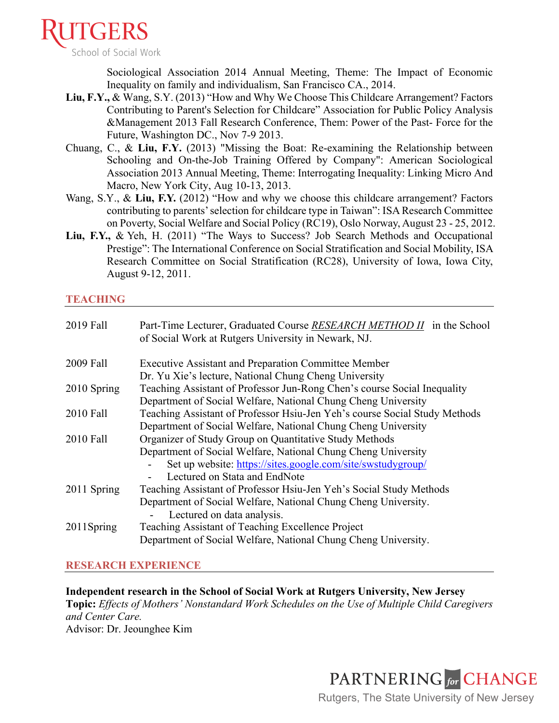

Sociological Association 2014 Annual Meeting, Theme: The Impact of Economic Inequality on family and individualism, San Francisco CA., 2014.

- **Liu, F.Y.,** & Wang, S.Y. (2013) "How and Why We Choose This Childcare Arrangement? Factors Contributing to Parent's Selection for Childcare" Association for Public Policy Analysis &Management 2013 Fall Research Conference, Them: Power of the Past- Force for the Future, Washington DC., Nov 7-9 2013.
- Chuang, C., & **Liu, F.Y.** (2013) "Missing the Boat: Re-examining the Relationship between Schooling and On-the-Job Training Offered by Company": American Sociological Association 2013 Annual Meeting, Theme: Interrogating Inequality: Linking Micro And Macro, New York City, Aug 10-13, 2013.
- Wang, S.Y., & Liu, F.Y. (2012) "How and why we choose this childcare arrangement? Factors contributing to parents' selection for childcare type in Taiwan": ISA Research Committee on Poverty, Social Welfare and Social Policy (RC19), Oslo Norway, August 23 - 25, 2012.
- **Liu, F.Y.,** & Yeh, H. (2011) "The Ways to Success? Job Search Methods and Occupational Prestige": The International Conference on Social Stratification and Social Mobility, ISA Research Committee on Social Stratification (RC28), University of Iowa, Iowa City, August 9-12, 2011.

## **TEACHING**

| 2019 Fall   | Part-Time Lecturer, Graduated Course RESEARCH METHOD II in the School<br>of Social Work at Rutgers University in Newark, NJ. |
|-------------|------------------------------------------------------------------------------------------------------------------------------|
| 2009 Fall   | <b>Executive Assistant and Preparation Committee Member</b>                                                                  |
|             | Dr. Yu Xie's lecture, National Chung Cheng University                                                                        |
| 2010 Spring | Teaching Assistant of Professor Jun-Rong Chen's course Social Inequality                                                     |
|             | Department of Social Welfare, National Chung Cheng University                                                                |
| 2010 Fall   | Teaching Assistant of Professor Hsiu-Jen Yeh's course Social Study Methods                                                   |
|             | Department of Social Welfare, National Chung Cheng University                                                                |
| 2010 Fall   | Organizer of Study Group on Quantitative Study Methods                                                                       |
|             | Department of Social Welfare, National Chung Cheng University                                                                |
|             | Set up website: https://sites.google.com/site/swstudygroup/                                                                  |
|             | Lectured on Stata and EndNote                                                                                                |
| 2011 Spring | Teaching Assistant of Professor Hsiu-Jen Yeh's Social Study Methods                                                          |
|             | Department of Social Welfare, National Chung Cheng University.                                                               |
|             | Lectured on data analysis.                                                                                                   |
| 2011Spring  | Teaching Assistant of Teaching Excellence Project                                                                            |
|             |                                                                                                                              |
|             | Department of Social Welfare, National Chung Cheng University.                                                               |

# **RESEARCH EXPERIENCE**

**Independent research in the School of Social Work at Rutgers University, New Jersey Topic:** *Effects of Mothers' Nonstandard Work Schedules on the Use of Multiple Child Caregivers and Center Care.* Advisor: Dr. Jeounghee Kim

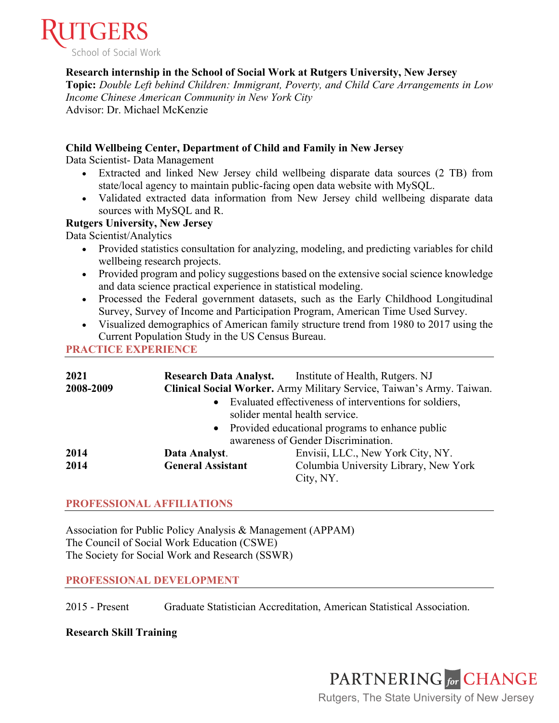

**Research internship in the School of Social Work at Rutgers University, New Jersey**

**Topic:** *Double Left behind Children: Immigrant, Poverty, and Child Care Arrangements in Low Income Chinese American Community in New York City* Advisor: Dr. Michael McKenzie

## **Child Wellbeing Center, Department of Child and Family in New Jersey**

Data Scientist- Data Management

- Extracted and linked New Jersey child wellbeing disparate data sources (2 TB) from state/local agency to maintain public-facing open data website with MySQL.
- Validated extracted data information from New Jersey child wellbeing disparate data sources with MySQL and R.

## **Rutgers University, New Jersey**

Data Scientist/Analytics

- Provided statistics consultation for analyzing, modeling, and predicting variables for child wellbeing research projects.
- Provided program and policy suggestions based on the extensive social science knowledge and data science practical experience in statistical modeling.
- Processed the Federal government datasets, such as the Early Childhood Longitudinal Survey, Survey of Income and Participation Program, American Time Used Survey.
- Visualized demographics of American family structure trend from 1980 to 2017 using the Current Population Study in the US Census Bureau.

**PRACTICE EXPERIENCE**

| 2021      |                                                              | <b>Research Data Analyst.</b> Institute of Health, Rutgers. NJ        |  |
|-----------|--------------------------------------------------------------|-----------------------------------------------------------------------|--|
| 2008-2009 |                                                              | Clinical Social Worker. Army Military Service, Taiwan's Army. Taiwan. |  |
|           |                                                              | Evaluated effectiveness of interventions for soldiers,                |  |
|           |                                                              | solider mental health service.                                        |  |
|           | Provided educational programs to enhance public<br>$\bullet$ |                                                                       |  |
|           | awareness of Gender Discrimination.                          |                                                                       |  |
| 2014      | Data Analyst.                                                | Envisii, LLC., New York City, NY.                                     |  |
| 2014      | <b>General Assistant</b>                                     | Columbia University Library, New York                                 |  |
|           |                                                              | City, NY.                                                             |  |

## **PROFESSIONAL AFFILIATIONS**

Association for Public Policy Analysis & Management (APPAM) The Council of Social Work Education (CSWE) The Society for Social Work and Research (SSWR)

## **PROFESSIONAL DEVELOPMENT**

2015 - Present Graduate Statistician Accreditation, American Statistical Association.

## **Research Skill Training**